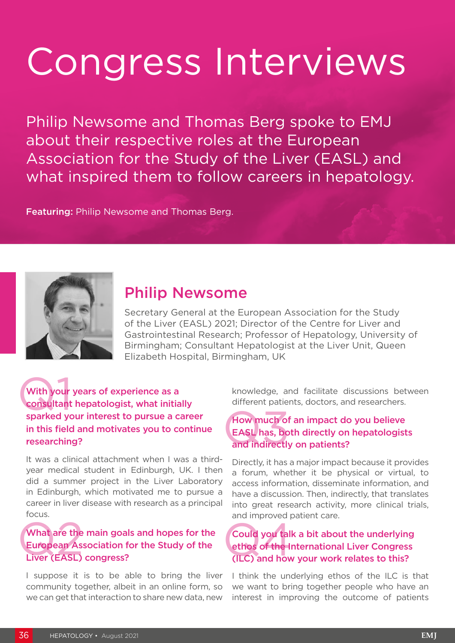# Congress Interviews

Philip Newsome and Thomas Berg spoke to EMJ about their respective roles at the European Association for the Study of the Liver (EASL) and what inspired them to follow careers in hepatology.

Featuring: Philip Newsome and Thomas Berg.



## Philip Newsome

Secretary General at the European Association for the Study of the Liver (EASL) 2021; Director of the Centre for Liver and Gastrointestinal Research; Professor of Hepatology, University of Birmingham; Consultant Hepatologist at the Liver Unit, Queen Elizabeth Hospital, Birmingham, UK

With your<br>consultant<br>sparked you With your years of experience as a consultant hepatologist, what initially sparked your interest to pursue a career in this field and motivates you to continue researching?

It was a clinical attachment when I was a thirdyear medical student in Edinburgh, UK. I then did a summer project in the Liver Laboratory in Edinburgh, which motivated me to pursue a career in liver disease with research as a principal focus.

#### What are the<br>European As:<br>Liver (EASL) What are the main goals and hopes for the European Association for the Study of the Liver (EASL) congress?

I suppose it is to be able to bring the liver community together, albeit in an online form, so we can get that interaction to share new data, new

knowledge, and facilitate discussions between different patients, doctors, and researchers.

#### How much of<br>EASL has, bo<br>and indirectly How much of an impact do you believe EASL has, both directly on hepatologists and indirectly on patients?

Directly, it has a major impact because it provides a forum, whether it be physical or virtual, to access information, disseminate information, and have a discussion. Then, indirectly, that translates into great research activity, more clinical trials, and improved patient care.

#### Could you tall<br>ethos of the li<br>(ILC) and how Could you talk a bit about the underlying ethos of the International Liver Congress (ILC) and how your work relates to this?

I think the underlying ethos of the ILC is that we want to bring together people who have an interest in improving the outcome of patients